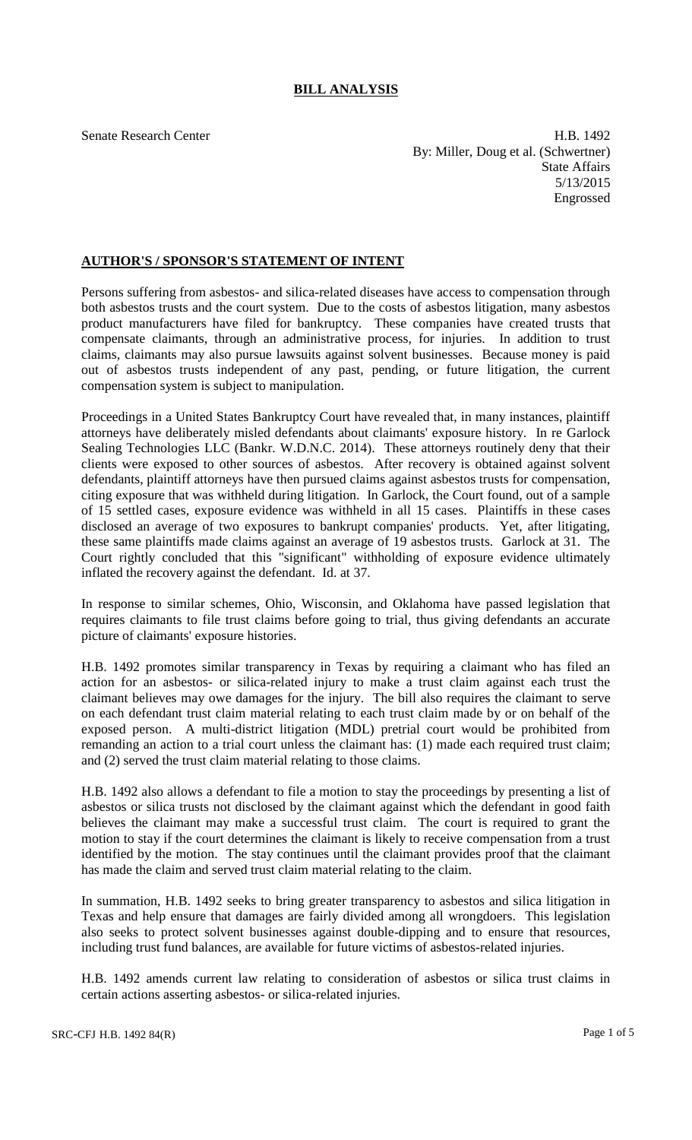# **BILL ANALYSIS**

Senate Research Center **H.B. 1492** By: Miller, Doug et al. (Schwertner) State Affairs 5/13/2015 Engrossed

# **AUTHOR'S / SPONSOR'S STATEMENT OF INTENT**

Persons suffering from asbestos- and silica-related diseases have access to compensation through both asbestos trusts and the court system. Due to the costs of asbestos litigation, many asbestos product manufacturers have filed for bankruptcy. These companies have created trusts that compensate claimants, through an administrative process, for injuries. In addition to trust claims, claimants may also pursue lawsuits against solvent businesses. Because money is paid out of asbestos trusts independent of any past, pending, or future litigation, the current compensation system is subject to manipulation.

Proceedings in a United States Bankruptcy Court have revealed that, in many instances, plaintiff attorneys have deliberately misled defendants about claimants' exposure history. In re Garlock Sealing Technologies LLC (Bankr. W.D.N.C. 2014). These attorneys routinely deny that their clients were exposed to other sources of asbestos. After recovery is obtained against solvent defendants, plaintiff attorneys have then pursued claims against asbestos trusts for compensation, citing exposure that was withheld during litigation. In Garlock, the Court found, out of a sample of 15 settled cases, exposure evidence was withheld in all 15 cases. Plaintiffs in these cases disclosed an average of two exposures to bankrupt companies' products. Yet, after litigating, these same plaintiffs made claims against an average of 19 asbestos trusts. Garlock at 31. The Court rightly concluded that this "significant" withholding of exposure evidence ultimately inflated the recovery against the defendant. Id. at 37.

In response to similar schemes, Ohio, Wisconsin, and Oklahoma have passed legislation that requires claimants to file trust claims before going to trial, thus giving defendants an accurate picture of claimants' exposure histories.

H.B. 1492 promotes similar transparency in Texas by requiring a claimant who has filed an action for an asbestos- or silica-related injury to make a trust claim against each trust the claimant believes may owe damages for the injury. The bill also requires the claimant to serve on each defendant trust claim material relating to each trust claim made by or on behalf of the exposed person. A multi-district litigation (MDL) pretrial court would be prohibited from remanding an action to a trial court unless the claimant has: (1) made each required trust claim; and (2) served the trust claim material relating to those claims.

H.B. 1492 also allows a defendant to file a motion to stay the proceedings by presenting a list of asbestos or silica trusts not disclosed by the claimant against which the defendant in good faith believes the claimant may make a successful trust claim. The court is required to grant the motion to stay if the court determines the claimant is likely to receive compensation from a trust identified by the motion. The stay continues until the claimant provides proof that the claimant has made the claim and served trust claim material relating to the claim.

In summation, H.B. 1492 seeks to bring greater transparency to asbestos and silica litigation in Texas and help ensure that damages are fairly divided among all wrongdoers. This legislation also seeks to protect solvent businesses against double-dipping and to ensure that resources, including trust fund balances, are available for future victims of asbestos-related injuries.

H.B. 1492 amends current law relating to consideration of asbestos or silica trust claims in certain actions asserting asbestos- or silica-related injuries.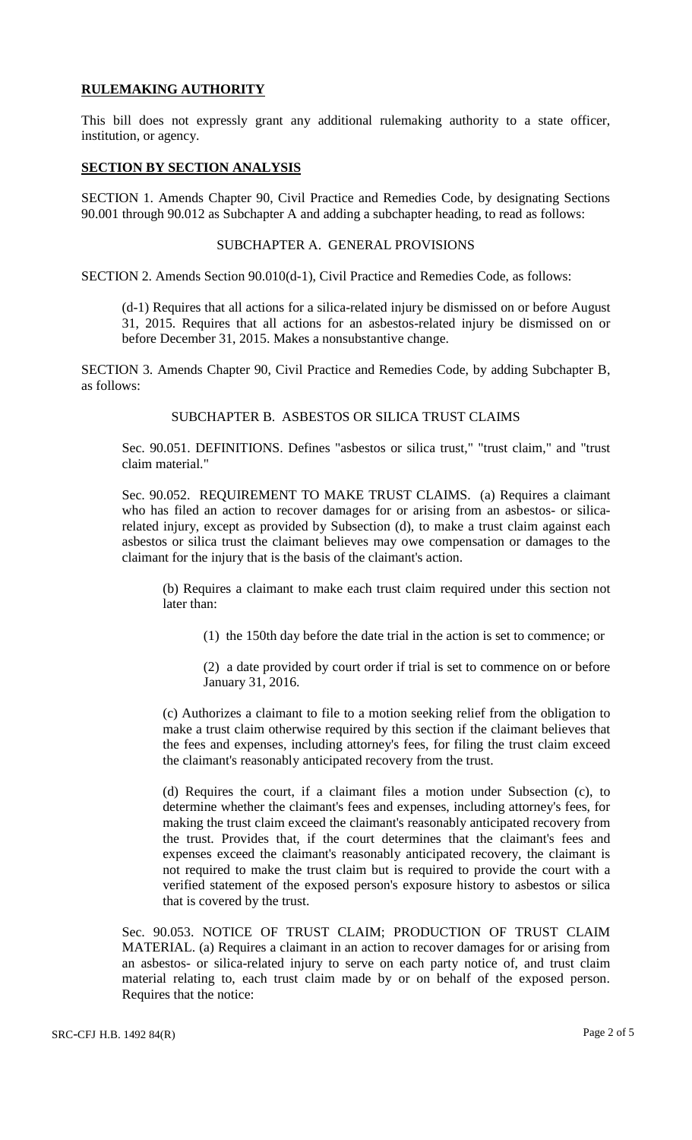# **RULEMAKING AUTHORITY**

This bill does not expressly grant any additional rulemaking authority to a state officer, institution, or agency.

### **SECTION BY SECTION ANALYSIS**

SECTION 1. Amends Chapter 90, Civil Practice and Remedies Code, by designating Sections 90.001 through 90.012 as Subchapter A and adding a subchapter heading, to read as follows:

#### SUBCHAPTER A. GENERAL PROVISIONS

SECTION 2. Amends Section 90.010(d-1), Civil Practice and Remedies Code, as follows:

(d-1) Requires that all actions for a silica-related injury be dismissed on or before August 31, 2015. Requires that all actions for an asbestos-related injury be dismissed on or before December 31, 2015. Makes a nonsubstantive change.

SECTION 3. Amends Chapter 90, Civil Practice and Remedies Code, by adding Subchapter B, as follows:

### SUBCHAPTER B. ASBESTOS OR SILICA TRUST CLAIMS

Sec. 90.051. DEFINITIONS. Defines "asbestos or silica trust," "trust claim," and "trust claim material."

Sec. 90.052. REQUIREMENT TO MAKE TRUST CLAIMS. (a) Requires a claimant who has filed an action to recover damages for or arising from an asbestos- or silicarelated injury, except as provided by Subsection (d), to make a trust claim against each asbestos or silica trust the claimant believes may owe compensation or damages to the claimant for the injury that is the basis of the claimant's action.

(b) Requires a claimant to make each trust claim required under this section not later than:

(1) the 150th day before the date trial in the action is set to commence; or

(2) a date provided by court order if trial is set to commence on or before January 31, 2016.

(c) Authorizes a claimant to file to a motion seeking relief from the obligation to make a trust claim otherwise required by this section if the claimant believes that the fees and expenses, including attorney's fees, for filing the trust claim exceed the claimant's reasonably anticipated recovery from the trust.

(d) Requires the court, if a claimant files a motion under Subsection (c), to determine whether the claimant's fees and expenses, including attorney's fees, for making the trust claim exceed the claimant's reasonably anticipated recovery from the trust. Provides that, if the court determines that the claimant's fees and expenses exceed the claimant's reasonably anticipated recovery, the claimant is not required to make the trust claim but is required to provide the court with a verified statement of the exposed person's exposure history to asbestos or silica that is covered by the trust.

Sec. 90.053. NOTICE OF TRUST CLAIM; PRODUCTION OF TRUST CLAIM MATERIAL. (a) Requires a claimant in an action to recover damages for or arising from an asbestos- or silica-related injury to serve on each party notice of, and trust claim material relating to, each trust claim made by or on behalf of the exposed person. Requires that the notice: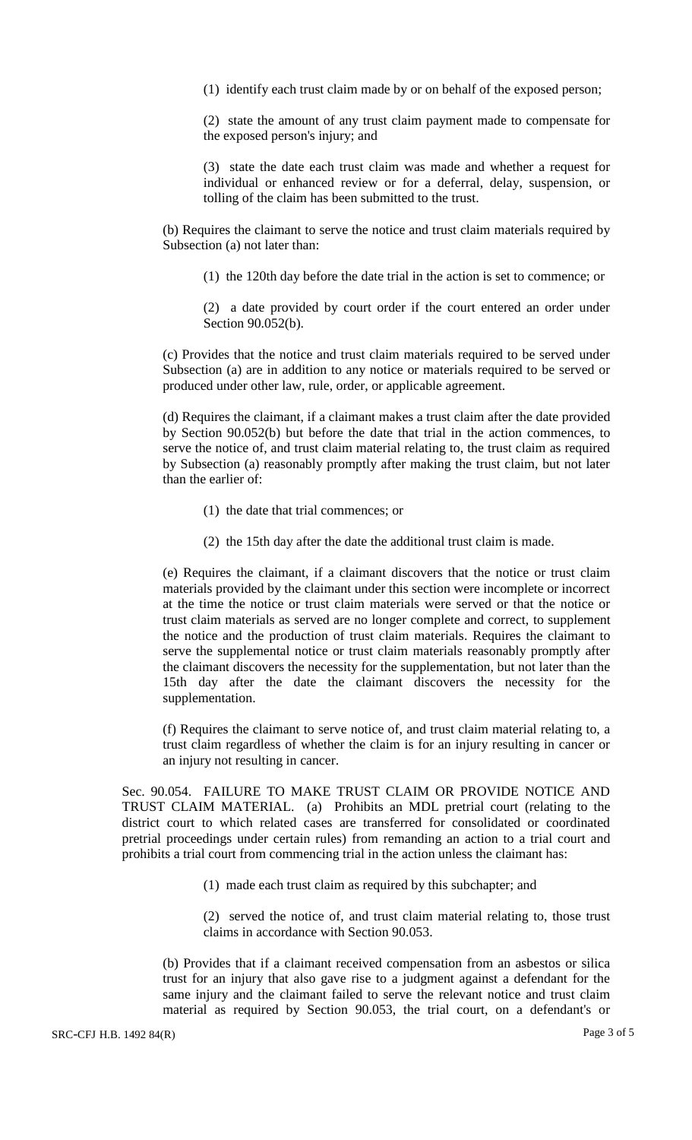(1) identify each trust claim made by or on behalf of the exposed person;

(2) state the amount of any trust claim payment made to compensate for the exposed person's injury; and

(3) state the date each trust claim was made and whether a request for individual or enhanced review or for a deferral, delay, suspension, or tolling of the claim has been submitted to the trust.

(b) Requires the claimant to serve the notice and trust claim materials required by Subsection (a) not later than:

(1) the 120th day before the date trial in the action is set to commence; or

(2) a date provided by court order if the court entered an order under Section 90.052(b).

(c) Provides that the notice and trust claim materials required to be served under Subsection (a) are in addition to any notice or materials required to be served or produced under other law, rule, order, or applicable agreement.

(d) Requires the claimant, if a claimant makes a trust claim after the date provided by Section 90.052(b) but before the date that trial in the action commences, to serve the notice of, and trust claim material relating to, the trust claim as required by Subsection (a) reasonably promptly after making the trust claim, but not later than the earlier of:

- (1) the date that trial commences; or
- (2) the 15th day after the date the additional trust claim is made.

(e) Requires the claimant, if a claimant discovers that the notice or trust claim materials provided by the claimant under this section were incomplete or incorrect at the time the notice or trust claim materials were served or that the notice or trust claim materials as served are no longer complete and correct, to supplement the notice and the production of trust claim materials. Requires the claimant to serve the supplemental notice or trust claim materials reasonably promptly after the claimant discovers the necessity for the supplementation, but not later than the 15th day after the date the claimant discovers the necessity for the supplementation.

(f) Requires the claimant to serve notice of, and trust claim material relating to, a trust claim regardless of whether the claim is for an injury resulting in cancer or an injury not resulting in cancer.

Sec. 90.054. FAILURE TO MAKE TRUST CLAIM OR PROVIDE NOTICE AND TRUST CLAIM MATERIAL. (a) Prohibits an MDL pretrial court (relating to the district court to which related cases are transferred for consolidated or coordinated pretrial proceedings under certain rules) from remanding an action to a trial court and prohibits a trial court from commencing trial in the action unless the claimant has:

(1) made each trust claim as required by this subchapter; and

(2) served the notice of, and trust claim material relating to, those trust claims in accordance with Section 90.053.

(b) Provides that if a claimant received compensation from an asbestos or silica trust for an injury that also gave rise to a judgment against a defendant for the same injury and the claimant failed to serve the relevant notice and trust claim material as required by Section 90.053, the trial court, on a defendant's or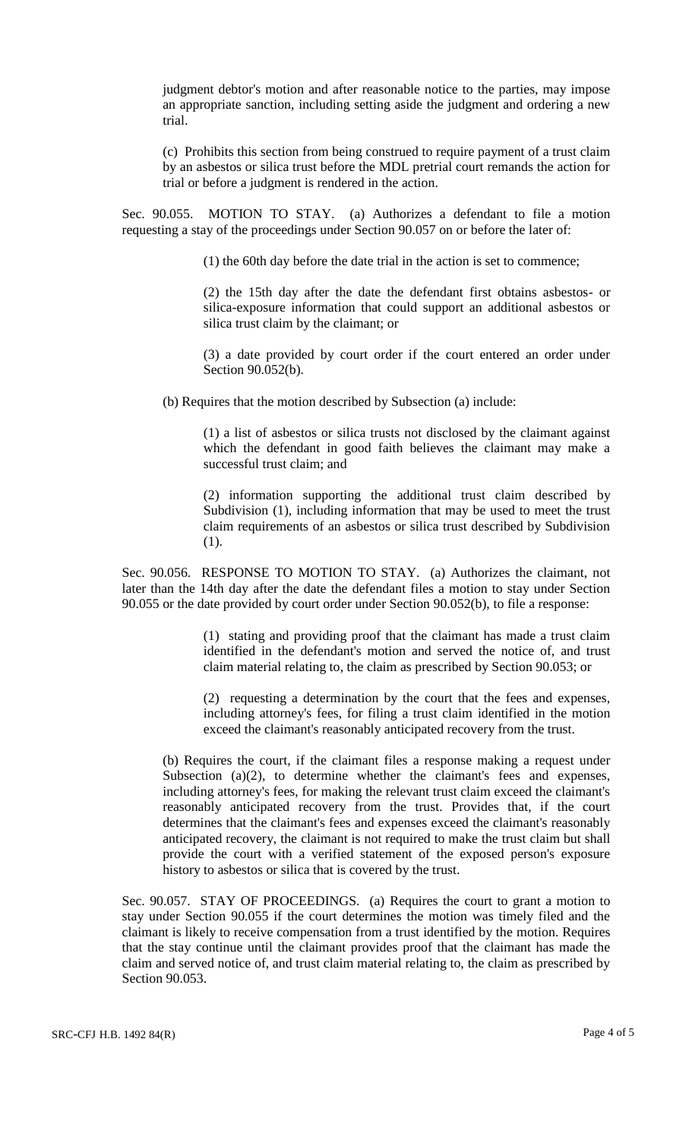judgment debtor's motion and after reasonable notice to the parties, may impose an appropriate sanction, including setting aside the judgment and ordering a new trial.

(c) Prohibits this section from being construed to require payment of a trust claim by an asbestos or silica trust before the MDL pretrial court remands the action for trial or before a judgment is rendered in the action.

Sec. 90.055. MOTION TO STAY. (a) Authorizes a defendant to file a motion requesting a stay of the proceedings under Section 90.057 on or before the later of:

(1) the 60th day before the date trial in the action is set to commence;

(2) the 15th day after the date the defendant first obtains asbestos- or silica-exposure information that could support an additional asbestos or silica trust claim by the claimant; or

(3) a date provided by court order if the court entered an order under Section 90.052(b).

(b) Requires that the motion described by Subsection (a) include:

(1) a list of asbestos or silica trusts not disclosed by the claimant against which the defendant in good faith believes the claimant may make a successful trust claim; and

(2) information supporting the additional trust claim described by Subdivision (1), including information that may be used to meet the trust claim requirements of an asbestos or silica trust described by Subdivision (1).

Sec. 90.056. RESPONSE TO MOTION TO STAY. (a) Authorizes the claimant, not later than the 14th day after the date the defendant files a motion to stay under Section 90.055 or the date provided by court order under Section 90.052(b), to file a response:

> (1) stating and providing proof that the claimant has made a trust claim identified in the defendant's motion and served the notice of, and trust claim material relating to, the claim as prescribed by Section 90.053; or

> (2) requesting a determination by the court that the fees and expenses, including attorney's fees, for filing a trust claim identified in the motion exceed the claimant's reasonably anticipated recovery from the trust.

(b) Requires the court, if the claimant files a response making a request under Subsection (a)(2), to determine whether the claimant's fees and expenses, including attorney's fees, for making the relevant trust claim exceed the claimant's reasonably anticipated recovery from the trust. Provides that, if the court determines that the claimant's fees and expenses exceed the claimant's reasonably anticipated recovery, the claimant is not required to make the trust claim but shall provide the court with a verified statement of the exposed person's exposure history to asbestos or silica that is covered by the trust.

Sec. 90.057. STAY OF PROCEEDINGS. (a) Requires the court to grant a motion to stay under Section 90.055 if the court determines the motion was timely filed and the claimant is likely to receive compensation from a trust identified by the motion. Requires that the stay continue until the claimant provides proof that the claimant has made the claim and served notice of, and trust claim material relating to, the claim as prescribed by Section 90.053.